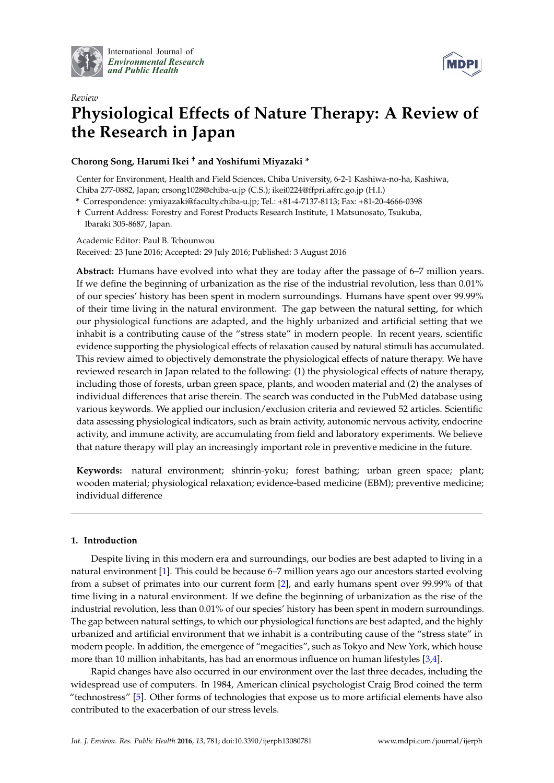

International Journal of *[Environmental Research](http://www.mdpi.com/journal/ijerph) and Public Health*



# *Review* **Physiological Effects of Nature Therapy: A Review of the Research in Japan**

# **Chorong Song, Harumi Ikei † and Yoshifumi Miyazaki \***

Center for Environment, Health and Field Sciences, Chiba University, 6-2-1 Kashiwa-no-ha, Kashiwa, Chiba 277-0882, Japan; crsong1028@chiba-u.jp (C.S.); ikei0224@ffpri.affrc.go.jp (H.I.)

**\*** Correspondence: ymiyazaki@faculty.chiba-u.jp; Tel.: +81-4-7137-8113; Fax: +81-20-4666-0398

† Current Address: Forestry and Forest Products Research Institute, 1 Matsunosato, Tsukuba, Ibaraki 305-8687, Japan.

Academic Editor: Paul B. Tchounwou Received: 23 June 2016; Accepted: 29 July 2016; Published: 3 August 2016

**Abstract:** Humans have evolved into what they are today after the passage of 6–7 million years. If we define the beginning of urbanization as the rise of the industrial revolution, less than 0.01% of our species' history has been spent in modern surroundings. Humans have spent over 99.99% of their time living in the natural environment. The gap between the natural setting, for which our physiological functions are adapted, and the highly urbanized and artificial setting that we inhabit is a contributing cause of the "stress state" in modern people. In recent years, scientific evidence supporting the physiological effects of relaxation caused by natural stimuli has accumulated. This review aimed to objectively demonstrate the physiological effects of nature therapy. We have reviewed research in Japan related to the following: (1) the physiological effects of nature therapy, including those of forests, urban green space, plants, and wooden material and (2) the analyses of individual differences that arise therein. The search was conducted in the PubMed database using various keywords. We applied our inclusion/exclusion criteria and reviewed 52 articles. Scientific data assessing physiological indicators, such as brain activity, autonomic nervous activity, endocrine activity, and immune activity, are accumulating from field and laboratory experiments. We believe that nature therapy will play an increasingly important role in preventive medicine in the future.

**Keywords:** natural environment; shinrin-yoku; forest bathing; urban green space; plant; wooden material; physiological relaxation; evidence-based medicine (EBM); preventive medicine; individual difference

# **1. Introduction**

Despite living in this modern era and surroundings, our bodies are best adapted to living in a natural environment [\[1\]](#page-13-0). This could be because 6–7 million years ago our ancestors started evolving from a subset of primates into our current form [\[2\]](#page-13-1), and early humans spent over 99.99% of that time living in a natural environment. If we define the beginning of urbanization as the rise of the industrial revolution, less than 0.01% of our species' history has been spent in modern surroundings. The gap between natural settings, to which our physiological functions are best adapted, and the highly urbanized and artificial environment that we inhabit is a contributing cause of the "stress state" in modern people. In addition, the emergence of "megacities", such as Tokyo and New York, which house more than 10 million inhabitants, has had an enormous influence on human lifestyles [\[3,](#page-13-2)[4\]](#page-13-3).

Rapid changes have also occurred in our environment over the last three decades, including the widespread use of computers. In 1984, American clinical psychologist Craig Brod coined the term "technostress" [\[5\]](#page-13-4). Other forms of technologies that expose us to more artificial elements have also contributed to the exacerbation of our stress levels.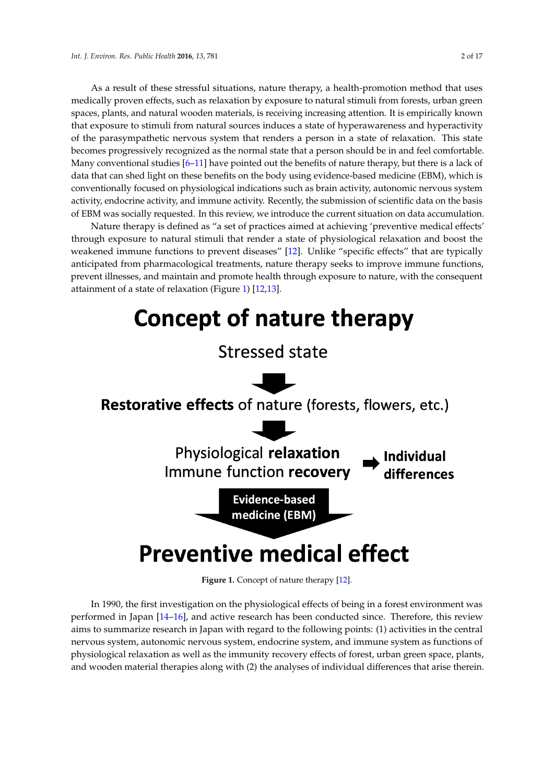As a result of these stressful situations, nature therapy, a health-promotion method that uses medically proven effects, such as relaxation by exposure to natural stimuli from forests, urban green spaces, plants, and natural wooden materials, is receiving increasing attention. It is empirically known that exposure to stimuli from natural sources induces a state of hyperawareness and hyperactivity of the parasympathetic nervous system that renders a person in a state of relaxation. This state becomes progressively recognized as the normal state that a person should be in and feel comfortable. Many conventional studies [\[6](#page-13-5)[–11\]](#page-13-6) have pointed out the benefits of nature therapy, but there is a lack of data that can shed light on these benefits on the body using evidence-based medicine (EBM), which is conventionally focused on physiological indications such as brain activity, autonomic nervous system activity, endocrine activity, and immune activity. Recently, the submission of scientific data on the basis of EBM was socially requested. In this review, we introduce the current situation on data accumulation. data accumulation.

Nature therapy is defined as "a set of practices aimed at achieving 'preventive medical effects' Nature therapy is defined as "a set of practices aimed at achieving 'preventive medical effects'<br>through exposure to natural stimuli that render a state of physiological relaxation and boost the weakened immune functions to prevent diseases" [\[12\]](#page-13-7). Unlike "specific effects" that are typically weakened immune functions to prevent diseases" [12]. Unlike "specific effects" that are typically anticipated from pharmacological treatments, nature therapy seeks to improve immune functions, anticipated from pharmacological treatments, nature therapy seeks to improve immune functions, prevent illnesses, and maintain and promote health through exposure to nature, with the consequent prevent illnesses, and maintain and promote health through exposure to nature, with the consequent attainment of a state of relaxation (Figure 1) [\[12,](#page-13-7)[13\]](#page-13-8). attainment of a state of relaxation (Figur[e 1](#page-1-0)) [12,13].

<span id="page-1-0"></span>

**Figure 1.** Concept of nature therapy [12]. **Figure 1.** Concept of nature therapy [\[12\]](#page-13-7).

In 1990, the first investigation on the physiological effects of being in a forest environment was In 1990, the first investigation on the physiological effects of being in a forest environment was performed in Japan [\[14](#page-13-9)[–16](#page-13-10)], and active research has been conducted since. Therefore, this review performed in Japan [14–16], and active research has been conducted since. Therefore, this review aims to summarize research in Japan with regard to the following points: (1) activities in the central aims to summarize research in Japan with regard to the following points: (1) activities in the central nervous system, autonomic nervous system, endocrine system, and immune system as functions of nervous system, autonomic nervous system, endocrine system, and immune system as functions of physiological relaxation as well as the immunity recovery effects of forest, urban green space, plants, physiological relaxation as well as the immunity recovery effects of forest, urban green space, plants, and wooden material therapies along with (2) the analyses of individual differences that arise therein. and wooden material therapies along with (2) the analyses of individual differences that arise therein.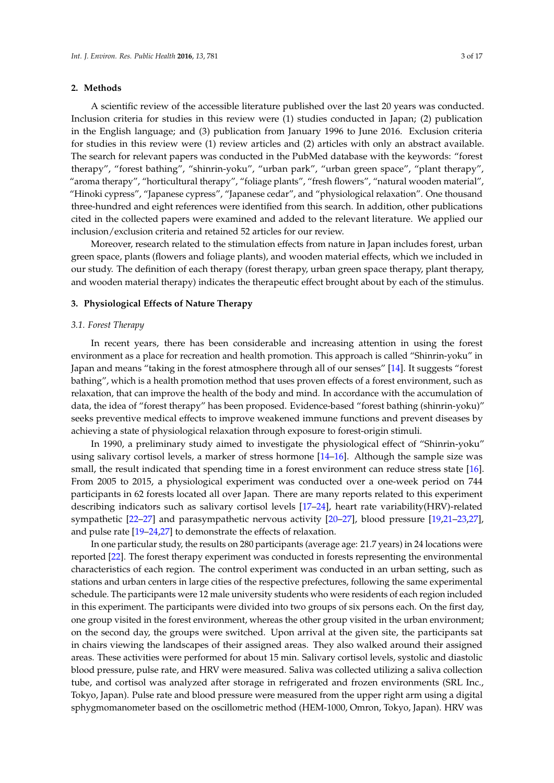#### **2. Methods**

A scientific review of the accessible literature published over the last 20 years was conducted. Inclusion criteria for studies in this review were (1) studies conducted in Japan; (2) publication in the English language; and (3) publication from January 1996 to June 2016. Exclusion criteria for studies in this review were (1) review articles and (2) articles with only an abstract available. The search for relevant papers was conducted in the PubMed database with the keywords: "forest therapy", "forest bathing", "shinrin-yoku", "urban park", "urban green space", "plant therapy", "aroma therapy", "horticultural therapy", "foliage plants", "fresh flowers", "natural wooden material", "Hinoki cypress", "Japanese cypress", "Japanese cedar", and "physiological relaxation". One thousand three-hundred and eight references were identified from this search. In addition, other publications cited in the collected papers were examined and added to the relevant literature. We applied our inclusion/exclusion criteria and retained 52 articles for our review.

Moreover, research related to the stimulation effects from nature in Japan includes forest, urban green space, plants (flowers and foliage plants), and wooden material effects, which we included in our study. The definition of each therapy (forest therapy, urban green space therapy, plant therapy, and wooden material therapy) indicates the therapeutic effect brought about by each of the stimulus.

#### **3. Physiological Effects of Nature Therapy**

#### *3.1. Forest Therapy*

In recent years, there has been considerable and increasing attention in using the forest environment as a place for recreation and health promotion. This approach is called "Shinrin-yoku" in Japan and means "taking in the forest atmosphere through all of our senses" [\[14\]](#page-13-9). It suggests "forest bathing", which is a health promotion method that uses proven effects of a forest environment, such as relaxation, that can improve the health of the body and mind. In accordance with the accumulation of data, the idea of "forest therapy" has been proposed. Evidence-based "forest bathing (shinrin-yoku)" seeks preventive medical effects to improve weakened immune functions and prevent diseases by achieving a state of physiological relaxation through exposure to forest-origin stimuli.

In 1990, a preliminary study aimed to investigate the physiological effect of "Shinrin-yoku" using salivary cortisol levels, a marker of stress hormone [\[14](#page-13-9)[–16\]](#page-13-10). Although the sample size was small, the result indicated that spending time in a forest environment can reduce stress state [\[16\]](#page-13-10). From 2005 to 2015, a physiological experiment was conducted over a one-week period on 744 participants in 62 forests located all over Japan. There are many reports related to this experiment describing indicators such as salivary cortisol levels [\[17](#page-13-11)[–24\]](#page-14-0), heart rate variability(HRV)-related sympathetic [\[22–](#page-13-12)[27\]](#page-14-1) and parasympathetic nervous activity [\[20](#page-13-13)[–27\]](#page-14-1), blood pressure [\[19,](#page-13-14)[21–](#page-13-15)[23,](#page-13-16)[27\]](#page-14-1), and pulse rate [\[19–](#page-13-14)[24](#page-14-0)[,27\]](#page-14-1) to demonstrate the effects of relaxation.

In one particular study, the results on 280 participants (average age: 21.7 years) in 24 locations were reported [\[22\]](#page-13-12). The forest therapy experiment was conducted in forests representing the environmental characteristics of each region. The control experiment was conducted in an urban setting, such as stations and urban centers in large cities of the respective prefectures, following the same experimental schedule. The participants were 12 male university students who were residents of each region included in this experiment. The participants were divided into two groups of six persons each. On the first day, one group visited in the forest environment, whereas the other group visited in the urban environment; on the second day, the groups were switched. Upon arrival at the given site, the participants sat in chairs viewing the landscapes of their assigned areas. They also walked around their assigned areas. These activities were performed for about 15 min. Salivary cortisol levels, systolic and diastolic blood pressure, pulse rate, and HRV were measured. Saliva was collected utilizing a saliva collection tube, and cortisol was analyzed after storage in refrigerated and frozen environments (SRL Inc., Tokyo, Japan). Pulse rate and blood pressure were measured from the upper right arm using a digital sphygmomanometer based on the oscillometric method (HEM-1000, Omron, Tokyo, Japan). HRV was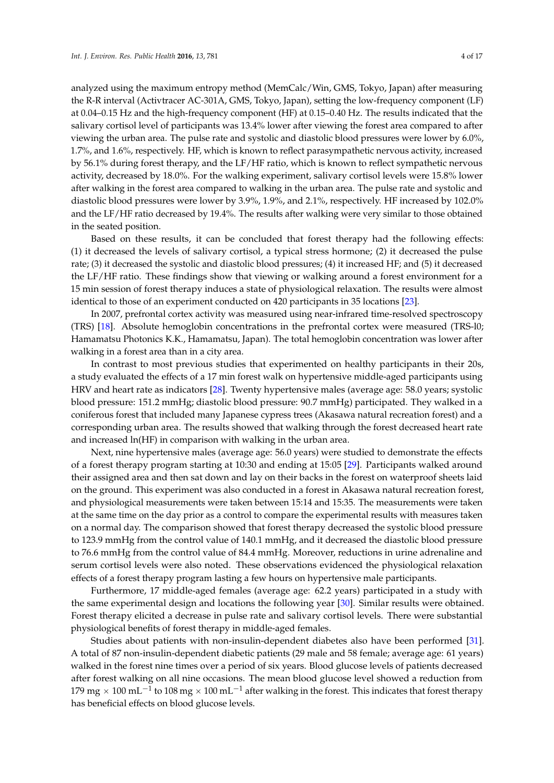analyzed using the maximum entropy method (MemCalc/Win, GMS, Tokyo, Japan) after measuring the R-R interval (Activtracer AC-301A, GMS, Tokyo, Japan), setting the low-frequency component (LF) at 0.04–0.15 Hz and the high-frequency component (HF) at 0.15–0.40 Hz. The results indicated that the salivary cortisol level of participants was 13.4% lower after viewing the forest area compared to after viewing the urban area. The pulse rate and systolic and diastolic blood pressures were lower by 6.0%, 1.7%, and 1.6%, respectively. HF, which is known to reflect parasympathetic nervous activity, increased by 56.1% during forest therapy, and the LF/HF ratio, which is known to reflect sympathetic nervous activity, decreased by 18.0%. For the walking experiment, salivary cortisol levels were 15.8% lower after walking in the forest area compared to walking in the urban area. The pulse rate and systolic and diastolic blood pressures were lower by 3.9%, 1.9%, and 2.1%, respectively. HF increased by 102.0% and the LF/HF ratio decreased by 19.4%. The results after walking were very similar to those obtained in the seated position.

Based on these results, it can be concluded that forest therapy had the following effects: (1) it decreased the levels of salivary cortisol, a typical stress hormone; (2) it decreased the pulse rate; (3) it decreased the systolic and diastolic blood pressures; (4) it increased HF; and (5) it decreased the LF/HF ratio. These findings show that viewing or walking around a forest environment for a 15 min session of forest therapy induces a state of physiological relaxation. The results were almost identical to those of an experiment conducted on 420 participants in 35 locations [\[23\]](#page-13-16).

In 2007, prefrontal cortex activity was measured using near-infrared time-resolved spectroscopy (TRS) [\[18\]](#page-13-17). Absolute hemoglobin concentrations in the prefrontal cortex were measured (TRS-l0; Hamamatsu Photonics K.K., Hamamatsu, Japan). The total hemoglobin concentration was lower after walking in a forest area than in a city area.

In contrast to most previous studies that experimented on healthy participants in their 20s, a study evaluated the effects of a 17 min forest walk on hypertensive middle-aged participants using HRV and heart rate as indicators [\[28\]](#page-14-2). Twenty hypertensive males (average age: 58.0 years; systolic blood pressure: 151.2 mmHg; diastolic blood pressure: 90.7 mmHg) participated. They walked in a coniferous forest that included many Japanese cypress trees (Akasawa natural recreation forest) and a corresponding urban area. The results showed that walking through the forest decreased heart rate and increased ln(HF) in comparison with walking in the urban area.

Next, nine hypertensive males (average age: 56.0 years) were studied to demonstrate the effects of a forest therapy program starting at 10:30 and ending at 15:05 [\[29\]](#page-14-3). Participants walked around their assigned area and then sat down and lay on their backs in the forest on waterproof sheets laid on the ground. This experiment was also conducted in a forest in Akasawa natural recreation forest, and physiological measurements were taken between 15:14 and 15:35. The measurements were taken at the same time on the day prior as a control to compare the experimental results with measures taken on a normal day. The comparison showed that forest therapy decreased the systolic blood pressure to 123.9 mmHg from the control value of 140.1 mmHg, and it decreased the diastolic blood pressure to 76.6 mmHg from the control value of 84.4 mmHg. Moreover, reductions in urine adrenaline and serum cortisol levels were also noted. These observations evidenced the physiological relaxation effects of a forest therapy program lasting a few hours on hypertensive male participants.

Furthermore, 17 middle-aged females (average age: 62.2 years) participated in a study with the same experimental design and locations the following year [\[30\]](#page-14-4). Similar results were obtained. Forest therapy elicited a decrease in pulse rate and salivary cortisol levels. There were substantial physiological benefits of forest therapy in middle-aged females.

Studies about patients with non-insulin-dependent diabetes also have been performed [\[31\]](#page-14-5). A total of 87 non-insulin-dependent diabetic patients (29 male and 58 female; average age: 61 years) walked in the forest nine times over a period of six years. Blood glucose levels of patients decreased after forest walking on all nine occasions. The mean blood glucose level showed a reduction from 179 mg  $\times$  100 mL $^{-1}$  to 108 mg  $\times$  100 mL $^{-1}$  after walking in the forest. This indicates that forest therapy has beneficial effects on blood glucose levels.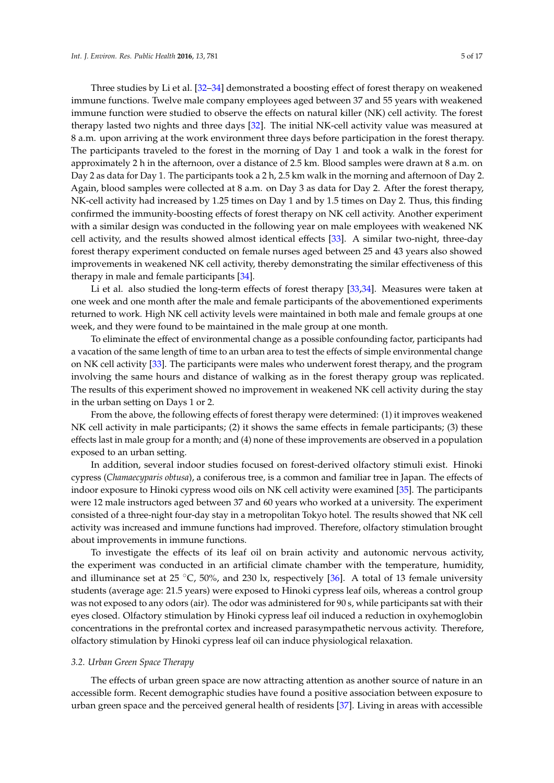Three studies by Li et al. [\[32](#page-14-6)[–34\]](#page-14-7) demonstrated a boosting effect of forest therapy on weakened immune functions. Twelve male company employees aged between 37 and 55 years with weakened immune function were studied to observe the effects on natural killer (NK) cell activity. The forest therapy lasted two nights and three days [\[32\]](#page-14-6). The initial NK-cell activity value was measured at 8 a.m. upon arriving at the work environment three days before participation in the forest therapy. The participants traveled to the forest in the morning of Day 1 and took a walk in the forest for approximately 2 h in the afternoon, over a distance of 2.5 km. Blood samples were drawn at 8 a.m. on Day 2 as data for Day 1. The participants took a 2 h, 2.5 km walk in the morning and afternoon of Day 2. Again, blood samples were collected at 8 a.m. on Day 3 as data for Day 2. After the forest therapy, NK-cell activity had increased by 1.25 times on Day 1 and by 1.5 times on Day 2. Thus, this finding confirmed the immunity-boosting effects of forest therapy on NK cell activity. Another experiment with a similar design was conducted in the following year on male employees with weakened NK cell activity, and the results showed almost identical effects [\[33\]](#page-14-8). A similar two-night, three-day forest therapy experiment conducted on female nurses aged between 25 and 43 years also showed improvements in weakened NK cell activity, thereby demonstrating the similar effectiveness of this therapy in male and female participants [\[34\]](#page-14-7).

Li et al. also studied the long-term effects of forest therapy [\[33](#page-14-8)[,34\]](#page-14-7). Measures were taken at one week and one month after the male and female participants of the abovementioned experiments returned to work. High NK cell activity levels were maintained in both male and female groups at one week, and they were found to be maintained in the male group at one month.

To eliminate the effect of environmental change as a possible confounding factor, participants had a vacation of the same length of time to an urban area to test the effects of simple environmental change on NK cell activity [\[33\]](#page-14-8). The participants were males who underwent forest therapy, and the program involving the same hours and distance of walking as in the forest therapy group was replicated. The results of this experiment showed no improvement in weakened NK cell activity during the stay in the urban setting on Days 1 or 2.

From the above, the following effects of forest therapy were determined: (1) it improves weakened NK cell activity in male participants; (2) it shows the same effects in female participants; (3) these effects last in male group for a month; and (4) none of these improvements are observed in a population exposed to an urban setting.

In addition, several indoor studies focused on forest-derived olfactory stimuli exist. Hinoki cypress (*Chamaecyparis obtusa*), a coniferous tree, is a common and familiar tree in Japan. The effects of indoor exposure to Hinoki cypress wood oils on NK cell activity were examined [\[35\]](#page-14-9). The participants were 12 male instructors aged between 37 and 60 years who worked at a university. The experiment consisted of a three-night four-day stay in a metropolitan Tokyo hotel. The results showed that NK cell activity was increased and immune functions had improved. Therefore, olfactory stimulation brought about improvements in immune functions.

To investigate the effects of its leaf oil on brain activity and autonomic nervous activity, the experiment was conducted in an artificial climate chamber with the temperature, humidity, and illuminance set at 25  $\degree$ C, 50%, and 230 lx, respectively [\[36\]](#page-14-10). A total of 13 female university students (average age: 21.5 years) were exposed to Hinoki cypress leaf oils, whereas a control group was not exposed to any odors (air). The odor was administered for 90 s, while participants sat with their eyes closed. Olfactory stimulation by Hinoki cypress leaf oil induced a reduction in oxyhemoglobin concentrations in the prefrontal cortex and increased parasympathetic nervous activity. Therefore, olfactory stimulation by Hinoki cypress leaf oil can induce physiological relaxation.

#### *3.2. Urban Green Space Therapy*

The effects of urban green space are now attracting attention as another source of nature in an accessible form. Recent demographic studies have found a positive association between exposure to urban green space and the perceived general health of residents [\[37\]](#page-14-11). Living in areas with accessible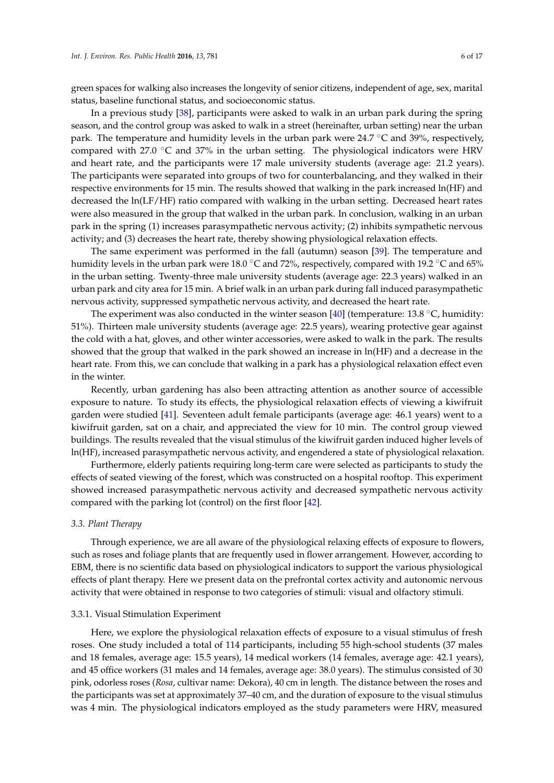green spaces for walking also increases the longevity of senior citizens, independent of age, sex, marital status, baseline functional status, and socioeconomic status.

In a previous study [\[38\]](#page-14-12), participants were asked to walk in an urban park during the spring season, and the control group was asked to walk in a street (hereinafter, urban setting) near the urban park. The temperature and humidity levels in the urban park were  $24.7 \degree C$  and  $39\%$ , respectively, compared with 27.0  $\degree$ C and 37% in the urban setting. The physiological indicators were HRV and heart rate, and the participants were 17 male university students (average age: 21.2 years). The participants were separated into groups of two for counterbalancing, and they walked in their respective environments for 15 min. The results showed that walking in the park increased ln(HF) and decreased the ln(LF/HF) ratio compared with walking in the urban setting. Decreased heart rates were also measured in the group that walked in the urban park. In conclusion, walking in an urban park in the spring (1) increases parasympathetic nervous activity; (2) inhibits sympathetic nervous activity; and (3) decreases the heart rate, thereby showing physiological relaxation effects.

The same experiment was performed in the fall (autumn) season [\[39\]](#page-14-13). The temperature and humidity levels in the urban park were 18.0 °C and 72%, respectively, compared with 19.2 °C and 65% in the urban setting. Twenty-three male university students (average age: 22.3 years) walked in an urban park and city area for 15 min. A brief walk in an urban park during fall induced parasympathetic nervous activity, suppressed sympathetic nervous activity, and decreased the heart rate.

The experiment was also conducted in the winter season [\[40\]](#page-14-14) (temperature: 13.8  $\degree$ C, humidity: 51%). Thirteen male university students (average age: 22.5 years), wearing protective gear against the cold with a hat, gloves, and other winter accessories, were asked to walk in the park. The results showed that the group that walked in the park showed an increase in ln(HF) and a decrease in the heart rate. From this, we can conclude that walking in a park has a physiological relaxation effect even in the winter.

Recently, urban gardening has also been attracting attention as another source of accessible exposure to nature. To study its effects, the physiological relaxation effects of viewing a kiwifruit garden were studied [\[41\]](#page-14-15). Seventeen adult female participants (average age: 46.1 years) went to a kiwifruit garden, sat on a chair, and appreciated the view for 10 min. The control group viewed buildings. The results revealed that the visual stimulus of the kiwifruit garden induced higher levels of ln(HF), increased parasympathetic nervous activity, and engendered a state of physiological relaxation.

Furthermore, elderly patients requiring long-term care were selected as participants to study the effects of seated viewing of the forest, which was constructed on a hospital rooftop. This experiment showed increased parasympathetic nervous activity and decreased sympathetic nervous activity compared with the parking lot (control) on the first floor [\[42\]](#page-14-16).

#### *3.3. Plant Therapy*

Through experience, we are all aware of the physiological relaxing effects of exposure to flowers, such as roses and foliage plants that are frequently used in flower arrangement. However, according to EBM, there is no scientific data based on physiological indicators to support the various physiological effects of plant therapy. Here we present data on the prefrontal cortex activity and autonomic nervous activity that were obtained in response to two categories of stimuli: visual and olfactory stimuli.

#### 3.3.1. Visual Stimulation Experiment

Here, we explore the physiological relaxation effects of exposure to a visual stimulus of fresh roses. One study included a total of 114 participants, including 55 high-school students (37 males and 18 females, average age: 15.5 years), 14 medical workers (14 females, average age: 42.1 years), and 45 office workers (31 males and 14 females, average age: 38.0 years). The stimulus consisted of 30 pink, odorless roses (*Rosa*, cultivar name: Dekora), 40 cm in length. The distance between the roses and the participants was set at approximately 37–40 cm, and the duration of exposure to the visual stimulus was 4 min. The physiological indicators employed as the study parameters were HRV, measured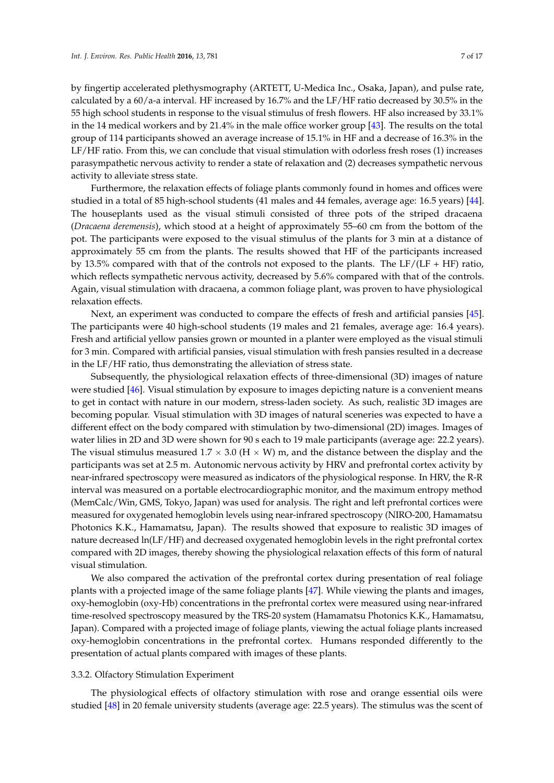by fingertip accelerated plethysmography (ARTETT, U-Medica Inc., Osaka, Japan), and pulse rate, calculated by a 60/a-a interval. HF increased by 16.7% and the LF/HF ratio decreased by 30.5% in the 55 high school students in response to the visual stimulus of fresh flowers. HF also increased by 33.1% in the 14 medical workers and by 21.4% in the male office worker group [\[43\]](#page-15-0). The results on the total group of 114 participants showed an average increase of 15.1% in HF and a decrease of 16.3% in the LF/HF ratio. From this, we can conclude that visual stimulation with odorless fresh roses (1) increases parasympathetic nervous activity to render a state of relaxation and (2) decreases sympathetic nervous activity to alleviate stress state.

Furthermore, the relaxation effects of foliage plants commonly found in homes and offices were studied in a total of 85 high-school students (41 males and 44 females, average age: 16.5 years) [\[44\]](#page-15-1). The houseplants used as the visual stimuli consisted of three pots of the striped dracaena (*Dracaena deremensis*), which stood at a height of approximately 55–60 cm from the bottom of the pot. The participants were exposed to the visual stimulus of the plants for 3 min at a distance of approximately 55 cm from the plants. The results showed that HF of the participants increased by 13.5% compared with that of the controls not exposed to the plants. The LF/(LF + HF) ratio, which reflects sympathetic nervous activity, decreased by 5.6% compared with that of the controls. Again, visual stimulation with dracaena, a common foliage plant, was proven to have physiological relaxation effects.

Next, an experiment was conducted to compare the effects of fresh and artificial pansies [\[45\]](#page-15-2). The participants were 40 high-school students (19 males and 21 females, average age: 16.4 years). Fresh and artificial yellow pansies grown or mounted in a planter were employed as the visual stimuli for 3 min. Compared with artificial pansies, visual stimulation with fresh pansies resulted in a decrease in the LF/HF ratio, thus demonstrating the alleviation of stress state.

Subsequently, the physiological relaxation effects of three-dimensional (3D) images of nature were studied [\[46\]](#page-15-3). Visual stimulation by exposure to images depicting nature is a convenient means to get in contact with nature in our modern, stress-laden society. As such, realistic 3D images are becoming popular. Visual stimulation with 3D images of natural sceneries was expected to have a different effect on the body compared with stimulation by two-dimensional (2D) images. Images of water lilies in 2D and 3D were shown for 90 s each to 19 male participants (average age: 22.2 years). The visual stimulus measured  $1.7 \times 3.0$  (H  $\times$  W) m, and the distance between the display and the participants was set at 2.5 m. Autonomic nervous activity by HRV and prefrontal cortex activity by near-infrared spectroscopy were measured as indicators of the physiological response. In HRV, the R-R interval was measured on a portable electrocardiographic monitor, and the maximum entropy method (MemCalc/Win, GMS, Tokyo, Japan) was used for analysis. The right and left prefrontal cortices were measured for oxygenated hemoglobin levels using near-infrared spectroscopy (NIRO-200, Hamamatsu Photonics K.K., Hamamatsu, Japan). The results showed that exposure to realistic 3D images of nature decreased ln(LF/HF) and decreased oxygenated hemoglobin levels in the right prefrontal cortex compared with 2D images, thereby showing the physiological relaxation effects of this form of natural visual stimulation.

We also compared the activation of the prefrontal cortex during presentation of real foliage plants with a projected image of the same foliage plants [\[47\]](#page-15-4). While viewing the plants and images, oxy-hemoglobin (oxy-Hb) concentrations in the prefrontal cortex were measured using near-infrared time-resolved spectroscopy measured by the TRS-20 system (Hamamatsu Photonics K.K., Hamamatsu, Japan). Compared with a projected image of foliage plants, viewing the actual foliage plants increased oxy-hemoglobin concentrations in the prefrontal cortex. Humans responded differently to the presentation of actual plants compared with images of these plants.

#### 3.3.2. Olfactory Stimulation Experiment

The physiological effects of olfactory stimulation with rose and orange essential oils were studied [\[48\]](#page-15-5) in 20 female university students (average age: 22.5 years). The stimulus was the scent of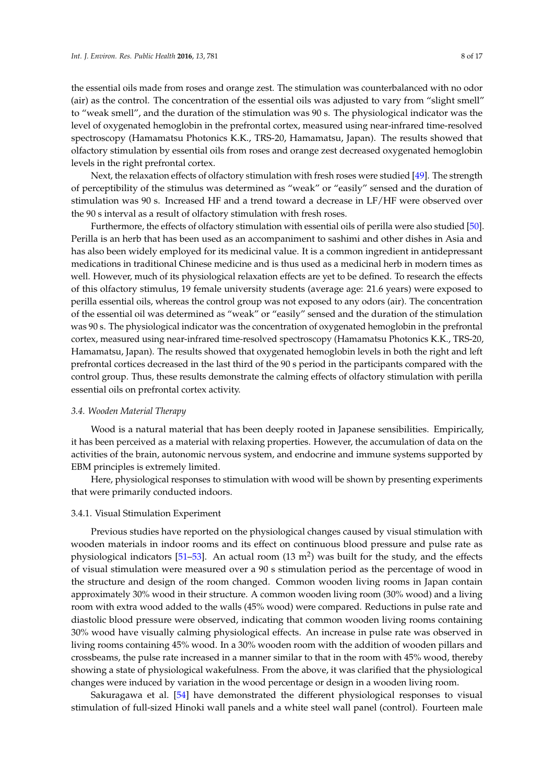the essential oils made from roses and orange zest. The stimulation was counterbalanced with no odor (air) as the control. The concentration of the essential oils was adjusted to vary from "slight smell" to "weak smell", and the duration of the stimulation was 90 s. The physiological indicator was the level of oxygenated hemoglobin in the prefrontal cortex, measured using near-infrared time-resolved spectroscopy (Hamamatsu Photonics K.K., TRS-20, Hamamatsu, Japan). The results showed that olfactory stimulation by essential oils from roses and orange zest decreased oxygenated hemoglobin levels in the right prefrontal cortex.

Next, the relaxation effects of olfactory stimulation with fresh roses were studied [\[49\]](#page-15-6). The strength of perceptibility of the stimulus was determined as "weak" or "easily" sensed and the duration of stimulation was 90 s. Increased HF and a trend toward a decrease in LF/HF were observed over the 90 s interval as a result of olfactory stimulation with fresh roses.

Furthermore, the effects of olfactory stimulation with essential oils of perilla were also studied [\[50\]](#page-15-7). Perilla is an herb that has been used as an accompaniment to sashimi and other dishes in Asia and has also been widely employed for its medicinal value. It is a common ingredient in antidepressant medications in traditional Chinese medicine and is thus used as a medicinal herb in modern times as well. However, much of its physiological relaxation effects are yet to be defined. To research the effects of this olfactory stimulus, 19 female university students (average age: 21.6 years) were exposed to perilla essential oils, whereas the control group was not exposed to any odors (air). The concentration of the essential oil was determined as "weak" or "easily" sensed and the duration of the stimulation was 90 s. The physiological indicator was the concentration of oxygenated hemoglobin in the prefrontal cortex, measured using near-infrared time-resolved spectroscopy (Hamamatsu Photonics K.K., TRS-20, Hamamatsu, Japan). The results showed that oxygenated hemoglobin levels in both the right and left prefrontal cortices decreased in the last third of the 90 s period in the participants compared with the control group. Thus, these results demonstrate the calming effects of olfactory stimulation with perilla essential oils on prefrontal cortex activity.

### *3.4. Wooden Material Therapy*

Wood is a natural material that has been deeply rooted in Japanese sensibilities. Empirically, it has been perceived as a material with relaxing properties. However, the accumulation of data on the activities of the brain, autonomic nervous system, and endocrine and immune systems supported by EBM principles is extremely limited.

Here, physiological responses to stimulation with wood will be shown by presenting experiments that were primarily conducted indoors.

### 3.4.1. Visual Stimulation Experiment

Previous studies have reported on the physiological changes caused by visual stimulation with wooden materials in indoor rooms and its effect on continuous blood pressure and pulse rate as physiological indicators [\[51–](#page-15-8)[53\]](#page-15-9). An actual room (13 m<sup>2</sup>) was built for the study, and the effects of visual stimulation were measured over a 90 s stimulation period as the percentage of wood in the structure and design of the room changed. Common wooden living rooms in Japan contain approximately 30% wood in their structure. A common wooden living room (30% wood) and a living room with extra wood added to the walls (45% wood) were compared. Reductions in pulse rate and diastolic blood pressure were observed, indicating that common wooden living rooms containing 30% wood have visually calming physiological effects. An increase in pulse rate was observed in living rooms containing 45% wood. In a 30% wooden room with the addition of wooden pillars and crossbeams, the pulse rate increased in a manner similar to that in the room with 45% wood, thereby showing a state of physiological wakefulness. From the above, it was clarified that the physiological changes were induced by variation in the wood percentage or design in a wooden living room.

Sakuragawa et al. [\[54\]](#page-15-10) have demonstrated the different physiological responses to visual stimulation of full-sized Hinoki wall panels and a white steel wall panel (control). Fourteen male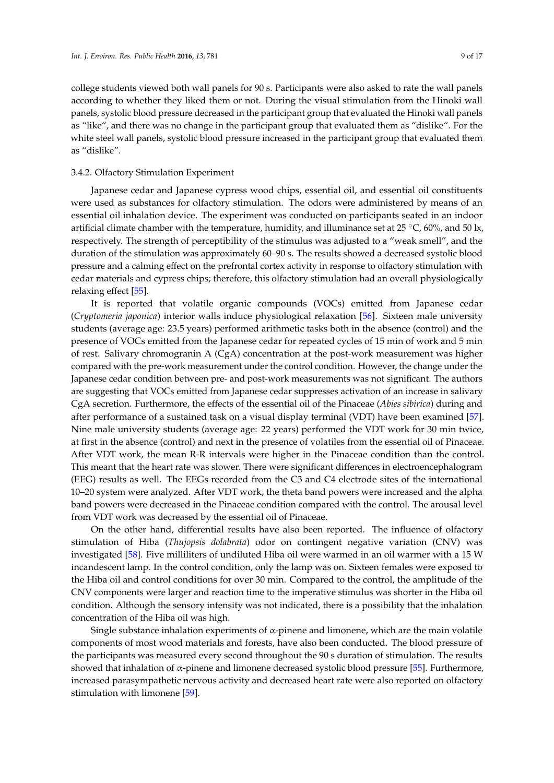college students viewed both wall panels for 90 s. Participants were also asked to rate the wall panels according to whether they liked them or not. During the visual stimulation from the Hinoki wall panels, systolic blood pressure decreased in the participant group that evaluated the Hinoki wall panels as "like", and there was no change in the participant group that evaluated them as "dislike". For the white steel wall panels, systolic blood pressure increased in the participant group that evaluated them as "dislike".

#### 3.4.2. Olfactory Stimulation Experiment

Japanese cedar and Japanese cypress wood chips, essential oil, and essential oil constituents were used as substances for olfactory stimulation. The odors were administered by means of an essential oil inhalation device. The experiment was conducted on participants seated in an indoor artificial climate chamber with the temperature, humidity, and illuminance set at 25 °C, 60%, and 50 lx, respectively. The strength of perceptibility of the stimulus was adjusted to a "weak smell", and the duration of the stimulation was approximately 60–90 s. The results showed a decreased systolic blood pressure and a calming effect on the prefrontal cortex activity in response to olfactory stimulation with cedar materials and cypress chips; therefore, this olfactory stimulation had an overall physiologically relaxing effect [\[55\]](#page-15-11).

It is reported that volatile organic compounds (VOCs) emitted from Japanese cedar (*Cryptomeria japonica*) interior walls induce physiological relaxation [\[56\]](#page-15-12). Sixteen male university students (average age: 23.5 years) performed arithmetic tasks both in the absence (control) and the presence of VOCs emitted from the Japanese cedar for repeated cycles of 15 min of work and 5 min of rest. Salivary chromogranin A (CgA) concentration at the post-work measurement was higher compared with the pre-work measurement under the control condition. However, the change under the Japanese cedar condition between pre- and post-work measurements was not significant. The authors are suggesting that VOCs emitted from Japanese cedar suppresses activation of an increase in salivary CgA secretion. Furthermore, the effects of the essential oil of the Pinaceae (*Abies sibirica*) during and after performance of a sustained task on a visual display terminal (VDT) have been examined [\[57\]](#page-15-13). Nine male university students (average age: 22 years) performed the VDT work for 30 min twice, at first in the absence (control) and next in the presence of volatiles from the essential oil of Pinaceae. After VDT work, the mean R-R intervals were higher in the Pinaceae condition than the control. This meant that the heart rate was slower. There were significant differences in electroencephalogram (EEG) results as well. The EEGs recorded from the C3 and C4 electrode sites of the international 10–20 system were analyzed. After VDT work, the theta band powers were increased and the alpha band powers were decreased in the Pinaceae condition compared with the control. The arousal level from VDT work was decreased by the essential oil of Pinaceae.

On the other hand, differential results have also been reported. The influence of olfactory stimulation of Hiba (*Thujopsis dolabrata*) odor on contingent negative variation (CNV) was investigated [\[58\]](#page-15-14). Five milliliters of undiluted Hiba oil were warmed in an oil warmer with a 15 W incandescent lamp. In the control condition, only the lamp was on. Sixteen females were exposed to the Hiba oil and control conditions for over 30 min. Compared to the control, the amplitude of the CNV components were larger and reaction time to the imperative stimulus was shorter in the Hiba oil condition. Although the sensory intensity was not indicated, there is a possibility that the inhalation concentration of the Hiba oil was high.

Single substance inhalation experiments of  $\alpha$ -pinene and limonene, which are the main volatile components of most wood materials and forests, have also been conducted. The blood pressure of the participants was measured every second throughout the 90 s duration of stimulation. The results showed that inhalation of  $\alpha$ -pinene and limonene decreased systolic blood pressure [\[55\]](#page-15-11). Furthermore, increased parasympathetic nervous activity and decreased heart rate were also reported on olfactory stimulation with limonene [\[59\]](#page-15-15).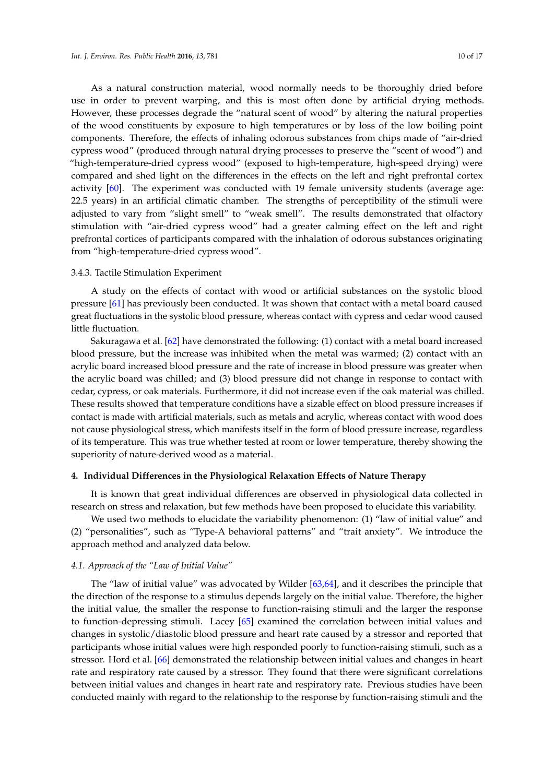As a natural construction material, wood normally needs to be thoroughly dried before use in order to prevent warping, and this is most often done by artificial drying methods. However, these processes degrade the "natural scent of wood" by altering the natural properties of the wood constituents by exposure to high temperatures or by loss of the low boiling point components. Therefore, the effects of inhaling odorous substances from chips made of "air-dried cypress wood" (produced through natural drying processes to preserve the "scent of wood") and "high-temperature-dried cypress wood" (exposed to high-temperature, high-speed drying) were compared and shed light on the differences in the effects on the left and right prefrontal cortex activity [\[60\]](#page-15-16). The experiment was conducted with 19 female university students (average age: 22.5 years) in an artificial climatic chamber. The strengths of perceptibility of the stimuli were adjusted to vary from "slight smell" to "weak smell". The results demonstrated that olfactory stimulation with "air-dried cypress wood" had a greater calming effect on the left and right prefrontal cortices of participants compared with the inhalation of odorous substances originating from "high-temperature-dried cypress wood".

#### 3.4.3. Tactile Stimulation Experiment

A study on the effects of contact with wood or artificial substances on the systolic blood pressure [\[61\]](#page-15-17) has previously been conducted. It was shown that contact with a metal board caused great fluctuations in the systolic blood pressure, whereas contact with cypress and cedar wood caused little fluctuation.

Sakuragawa et al. [\[62\]](#page-15-18) have demonstrated the following: (1) contact with a metal board increased blood pressure, but the increase was inhibited when the metal was warmed; (2) contact with an acrylic board increased blood pressure and the rate of increase in blood pressure was greater when the acrylic board was chilled; and (3) blood pressure did not change in response to contact with cedar, cypress, or oak materials. Furthermore, it did not increase even if the oak material was chilled. These results showed that temperature conditions have a sizable effect on blood pressure increases if contact is made with artificial materials, such as metals and acrylic, whereas contact with wood does not cause physiological stress, which manifests itself in the form of blood pressure increase, regardless of its temperature. This was true whether tested at room or lower temperature, thereby showing the superiority of nature-derived wood as a material.

## **4. Individual Differences in the Physiological Relaxation Effects of Nature Therapy**

It is known that great individual differences are observed in physiological data collected in research on stress and relaxation, but few methods have been proposed to elucidate this variability.

We used two methods to elucidate the variability phenomenon: (1) "law of initial value" and (2) "personalities", such as "Type-A behavioral patterns" and "trait anxiety". We introduce the approach method and analyzed data below.

#### *4.1. Approach of the "Law of Initial Value"*

The "law of initial value" was advocated by Wilder [\[63,](#page-15-19)[64\]](#page-15-20), and it describes the principle that the direction of the response to a stimulus depends largely on the initial value. Therefore, the higher the initial value, the smaller the response to function-raising stimuli and the larger the response to function-depressing stimuli. Lacey [\[65\]](#page-15-21) examined the correlation between initial values and changes in systolic/diastolic blood pressure and heart rate caused by a stressor and reported that participants whose initial values were high responded poorly to function-raising stimuli, such as a stressor. Hord et al. [\[66\]](#page-16-0) demonstrated the relationship between initial values and changes in heart rate and respiratory rate caused by a stressor. They found that there were significant correlations between initial values and changes in heart rate and respiratory rate. Previous studies have been conducted mainly with regard to the relationship to the response by function-raising stimuli and the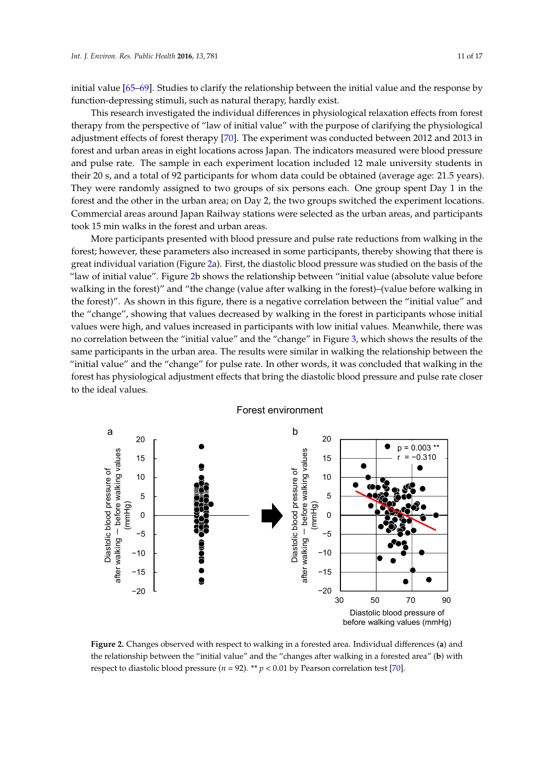initial value [\[65](#page-15-21)[–69\]](#page-16-1). Studies to clarify the relationship between the initial value and the response by function-depressing stimuli, such as natural therapy, hardly exist.

This research investigated the individual differences in physiological relaxation effects from forest therapy from the perspective of "law of initial value" with the purpose of clarifying the physiological adjustment effects of forest therapy [\[70\]](#page-16-2). The experiment was conducted between 2012 and 2013 in forest and urban areas in eight locations across Japan. The indicators measured were blood pressure and pulse rate. The sample in each experiment location included 12 male university students in their 20 s, and a total of 92 participants for whom data could be obtained (average age: 21.5 years). They were randomly assigned to two groups of six persons each. One group spent Day 1 in the forest and the other in the urban area; on Day 2, the two groups switched the experiment locations. Commercial areas around Japan Railway stations were selected as the urban areas, and participants took 15 min walks in the forest and urban areas.

More participants presented with blood pressure and pulse rate reductions from walking in the forest; however, these parameters also increased in some participants, thereby showing that there is great individual variation (Figure [2a](#page-10-0)). First, the diastolic blood pressure was studied on the basis of the "law of initial value". Figure [2b](#page-10-0) shows the relationship between "initial value (absolute value before walking in the forest)" and "the change (value after walking in the forest)–(value before walking in the forest)". As shown in this figure, there is a negative correlation between the "initial value" and the "change", showing that values decreased by walking in the forest in participants whose initial values were high, and values increased in participants with low initial values. Meanwhile, there was no correlation between the "initial value" and the "change" in Figure [3,](#page-11-0) which shows the results of the same participants in the urban area. The results were similar in walking the relationship between the "initial value" and the "change" for pulse rate. In other words, it was concluded that walking in the forest has physiological adjustment effects that bring the diastolic blood pressure and pulse rate closer to the ideal values.

<span id="page-10-0"></span>

Figure 2. Changes observed with respect to walking in a forested area. Individual differences (a) and the relationship between the "initial value" and the "changes after walking in a forested area" (**b**) the relationship between the "initial value" and the "changes after walking in a forested area" (**b**) with respect to diastolic blood pressure ( $n = 92$ ). \*\*  $p < 0.01$  by Pearson correlation test [\[70\]](#page-16-2).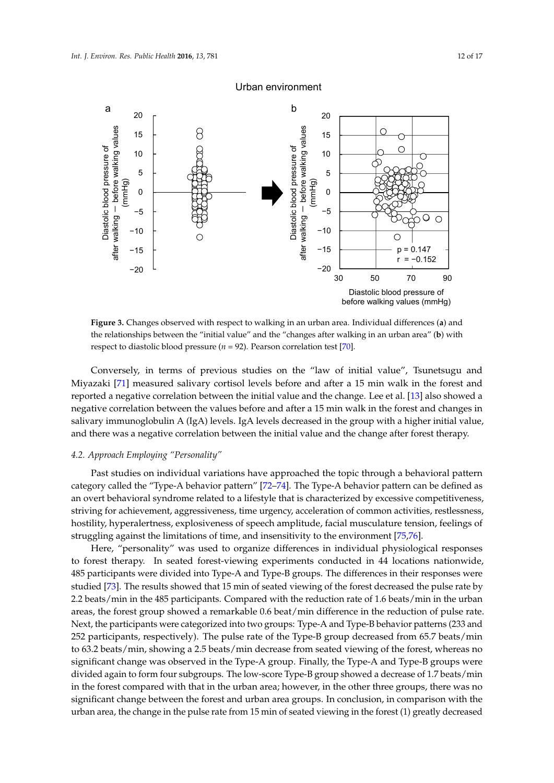<span id="page-11-0"></span>

# Urban environment

**Figure 3.** Changes observed with respect to walking in an urban area. Individual differences (**a**) and the relationships between the "initial value" and the "changes after walking in an urban area" (**b**) the relationships between the "initial value" and the "changes after walking in an urban area" (**b**) with respect to diastolic blood pressure ( $n = 92$ ). Pearson correlation test [\[70\]](#page-16-2).

Conversely, in terms of previous studies on the "law of initial value", Tsunetsugu and Miyazaki [\[71\]](#page-16-3) measured salivary cortisol levels before and after a 15 min walk in the forest and reported a negative correlation between the initial value and the change. Lee et al. [\[13\]](#page-13-8) also showed a negative correlation between the values before and after a 15 min walk in the forest and changes in salivary immunoglobulin A (IgA) levels. IgA levels decreased in the group with a higher initial value, there was a negative correlation between the initial value and the change after forest therapy. and there was a negative correlation between the initial value and the change after forest therapy.

# *4.2. Approach Employing "Personality"*

Past studies on individual variations have approached the topic through a behavioral pattern category called the "Type-A behavior pattern" [\[72–](#page-16-4)[74\]](#page-16-5). The Type-A behavior pattern can be defined as an overt behavioral syndrome related to a lifestyle that is characterized by excessive competitiveness, striving for achievement, aggressiveness, time urgency, acceleration of common activities, restlessness, hostility, hyperalertness, explosiveness of speech amplitude, facial musculature tension, feelings of struggling against the limitations of time, and insensitivity to the environment [\[75,](#page-16-6)[76\]](#page-16-7).

Here, "personality" was used to organize differences in individual physiological responses to forest therapy. In seated forest-viewing experiments conducted in 44 locations nationwide, 485 participants were divided into Type-A and Type-B groups. The differences in their responses were studied [\[73\]](#page-16-8). The results showed that 15 min of seated viewing of the forest decreased the pulse rate by 2.2 beats/min in the 485 participants. Compared with the reduction rate of 1.6 beats/min in the urban areas, the forest group showed a remarkable 0.6 beat/min difference in the reduction of pulse rate. Next, the participants were categorized into two groups: Type-A and Type-B behavior patterns (233 and 252 participants, respectively). The pulse rate of the Type-B group decreased from 65.7 beats/min to 63.2 beats/min, showing a 2.5 beats/min decrease from seated viewing of the forest, whereas no significant change was observed in the Type-A group. Finally, the Type-A and Type-B groups were divided again to form four subgroups. The low-score Type-B group showed a decrease of 1.7 beats/min in the forest compared with that in the urban area; however, in the other three groups, there was no significant change between the forest and urban area groups. In conclusion, in comparison with the urban area, the change in the pulse rate from 15 min of seated viewing in the forest (1) greatly decreased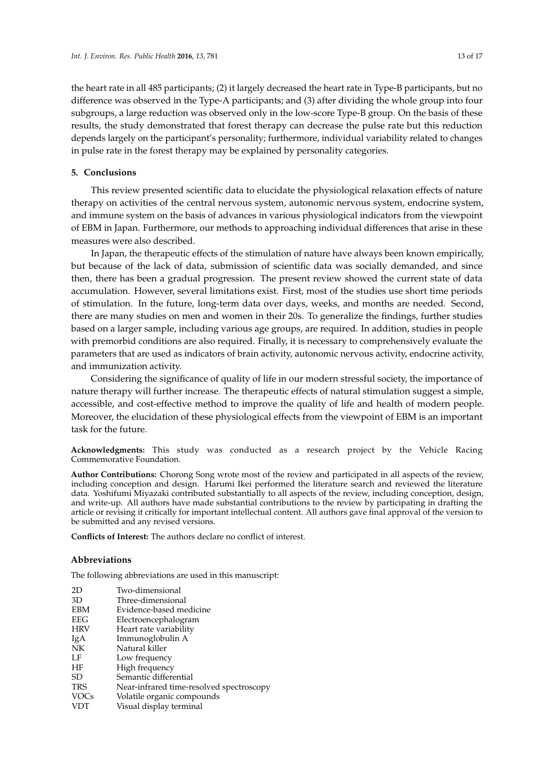the heart rate in all 485 participants; (2) it largely decreased the heart rate in Type-B participants, but no difference was observed in the Type-A participants; and (3) after dividing the whole group into four subgroups, a large reduction was observed only in the low-score Type-B group. On the basis of these results, the study demonstrated that forest therapy can decrease the pulse rate but this reduction depends largely on the participant's personality; furthermore, individual variability related to changes in pulse rate in the forest therapy may be explained by personality categories.

## **5. Conclusions**

This review presented scientific data to elucidate the physiological relaxation effects of nature therapy on activities of the central nervous system, autonomic nervous system, endocrine system, and immune system on the basis of advances in various physiological indicators from the viewpoint of EBM in Japan. Furthermore, our methods to approaching individual differences that arise in these measures were also described.

In Japan, the therapeutic effects of the stimulation of nature have always been known empirically, but because of the lack of data, submission of scientific data was socially demanded, and since then, there has been a gradual progression. The present review showed the current state of data accumulation. However, several limitations exist. First, most of the studies use short time periods of stimulation. In the future, long-term data over days, weeks, and months are needed. Second, there are many studies on men and women in their 20s. To generalize the findings, further studies based on a larger sample, including various age groups, are required. In addition, studies in people with premorbid conditions are also required. Finally, it is necessary to comprehensively evaluate the parameters that are used as indicators of brain activity, autonomic nervous activity, endocrine activity, and immunization activity.

Considering the significance of quality of life in our modern stressful society, the importance of nature therapy will further increase. The therapeutic effects of natural stimulation suggest a simple, accessible, and cost-effective method to improve the quality of life and health of modern people. Moreover, the elucidation of these physiological effects from the viewpoint of EBM is an important task for the future.

**Acknowledgments:** This study was conducted as a research project by the Vehicle Racing Commemorative Foundation.

**Author Contributions:** Chorong Song wrote most of the review and participated in all aspects of the review, including conception and design. Harumi Ikei performed the literature search and reviewed the literature data. Yoshifumi Miyazaki contributed substantially to all aspects of the review, including conception, design, and write-up. All authors have made substantial contributions to the review by participating in drafting the article or revising it critically for important intellectual content. All authors gave final approval of the version to be submitted and any revised versions.

**Conflicts of Interest:** The authors declare no conflict of interest.

#### **Abbreviations**

The following abbreviations are used in this manuscript:

| 2D          | Two-dimensional                          |
|-------------|------------------------------------------|
| 3D          | Three-dimensional                        |
| <b>EBM</b>  | Evidence-based medicine                  |
| EEG         | Electroencephalogram                     |
| <b>HRV</b>  | Heart rate variability                   |
| IgA         | Immunoglobulin A                         |
| NK          | Natural killer                           |
| LF          | Low frequency                            |
| ΗF          | High frequency                           |
| <b>SD</b>   | Semantic differential                    |
| <b>TRS</b>  | Near-infrared time-resolved spectroscopy |
| <b>VOCs</b> | Volatile organic compounds               |
| <b>VDT</b>  | Visual display terminal                  |
|             |                                          |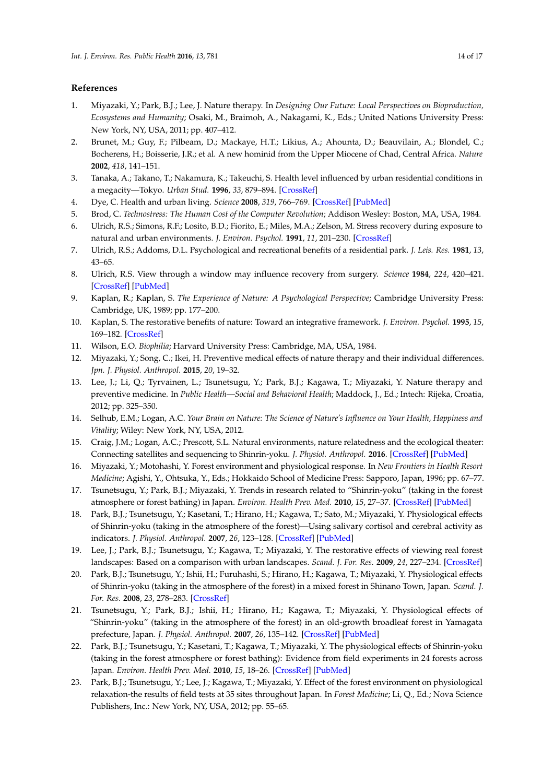# **References**

- <span id="page-13-0"></span>1. Miyazaki, Y.; Park, B.J.; Lee, J. Nature therapy. In *Designing Our Future: Local Perspectives on Bioproduction, Ecosystems and Humanity*; Osaki, M., Braimoh, A., Nakagami, K., Eds.; United Nations University Press: New York, NY, USA, 2011; pp. 407–412.
- <span id="page-13-1"></span>2. Brunet, M.; Guy, F.; Pilbeam, D.; Mackaye, H.T.; Likius, A.; Ahounta, D.; Beauvilain, A.; Blondel, C.; Bocherens, H.; Boisserie, J.R.; et al. A new hominid from the Upper Miocene of Chad, Central Africa. *Nature* **2002**, *418*, 141–151.
- <span id="page-13-2"></span>3. Tanaka, A.; Takano, T.; Nakamura, K.; Takeuchi, S. Health level influenced by urban residential conditions in a megacity—Tokyo. *Urban Stud.* **1996**, *33*, 879–894. [\[CrossRef\]](http://dx.doi.org/10.1080/00420989650011645)
- <span id="page-13-3"></span>4. Dye, C. Health and urban living. *Science* **2008**, *319*, 766–769. [\[CrossRef\]](http://dx.doi.org/10.1126/science.1150198) [\[PubMed\]](http://www.ncbi.nlm.nih.gov/pubmed/18258905)
- <span id="page-13-4"></span>5. Brod, C. *Technostress: The Human Cost of the Computer Revolution*; Addison Wesley: Boston, MA, USA, 1984.
- <span id="page-13-5"></span>6. Ulrich, R.S.; Simons, R.F.; Losito, B.D.; Fiorito, E.; Miles, M.A.; Zelson, M. Stress recovery during exposure to natural and urban environments. *J. Environ. Psychol.* **1991**, *11*, 201–230. [\[CrossRef\]](http://dx.doi.org/10.1016/S0272-4944(05)80184-7)
- 7. Ulrich, R.S.; Addoms, D.L. Psychological and recreational benefits of a residential park. *J. Leis. Res.* **1981**, *13*, 43–65.
- 8. Ulrich, R.S. View through a window may influence recovery from surgery. *Science* **1984**, *224*, 420–421. [\[CrossRef\]](http://dx.doi.org/10.1126/science.6143402) [\[PubMed\]](http://www.ncbi.nlm.nih.gov/pubmed/6143402)
- 9. Kaplan, R.; Kaplan, S. *The Experience of Nature: A Psychological Perspective*; Cambridge University Press: Cambridge, UK, 1989; pp. 177–200.
- 10. Kaplan, S. The restorative benefits of nature: Toward an integrative framework. *J. Environ. Psychol.* **1995**, *15*, 169–182. [\[CrossRef\]](http://dx.doi.org/10.1016/0272-4944(95)90001-2)
- <span id="page-13-6"></span>11. Wilson, E.O. *Biophilia*; Harvard University Press: Cambridge, MA, USA, 1984.
- <span id="page-13-7"></span>12. Miyazaki, Y.; Song, C.; Ikei, H. Preventive medical effects of nature therapy and their individual differences. *Jpn. J. Physiol. Anthropol.* **2015**, *20*, 19–32.
- <span id="page-13-8"></span>13. Lee, J.; Li, Q.; Tyrvainen, L.; Tsunetsugu, Y.; Park, B.J.; Kagawa, T.; Miyazaki, Y. Nature therapy and preventive medicine. In *Public Health—Social and Behavioral Health*; Maddock, J., Ed.; Intech: Rijeka, Croatia, 2012; pp. 325–350.
- <span id="page-13-9"></span>14. Selhub, E.M.; Logan, A.C. *Your Brain on Nature: The Science of Nature's Influence on Your Health, Happiness and Vitality*; Wiley: New York, NY, USA, 2012.
- 15. Craig, J.M.; Logan, A.C.; Prescott, S.L. Natural environments, nature relatedness and the ecological theater: Connecting satellites and sequencing to Shinrin-yoku. *J. Physiol. Anthropol.* **2016**. [\[CrossRef\]](http://dx.doi.org/10.1186/s40101-016-0083-9) [\[PubMed\]](http://www.ncbi.nlm.nih.gov/pubmed/26763049)
- <span id="page-13-10"></span>16. Miyazaki, Y.; Motohashi, Y. Forest environment and physiological response. In *New Frontiers in Health Resort Medicine*; Agishi, Y., Ohtsuka, Y., Eds.; Hokkaido School of Medicine Press: Sapporo, Japan, 1996; pp. 67–77.
- <span id="page-13-11"></span>17. Tsunetsugu, Y.; Park, B.J.; Miyazaki, Y. Trends in research related to "Shinrin-yoku" (taking in the forest atmosphere or forest bathing) in Japan. *Environ. Health Prev. Med.* **2010**, *15*, 27–37. [\[CrossRef\]](http://dx.doi.org/10.1007/s12199-009-0091-z) [\[PubMed\]](http://www.ncbi.nlm.nih.gov/pubmed/19585091)
- <span id="page-13-17"></span>18. Park, B.J.; Tsunetsugu, Y.; Kasetani, T.; Hirano, H.; Kagawa, T.; Sato, M.; Miyazaki, Y. Physiological effects of Shinrin-yoku (taking in the atmosphere of the forest)—Using salivary cortisol and cerebral activity as indicators. *J. Physiol. Anthropol.* **2007**, *26*, 123–128. [\[CrossRef\]](http://dx.doi.org/10.2114/jpa2.26.123) [\[PubMed\]](http://www.ncbi.nlm.nih.gov/pubmed/17435354)
- <span id="page-13-14"></span>19. Lee, J.; Park, B.J.; Tsunetsugu, Y.; Kagawa, T.; Miyazaki, Y. The restorative effects of viewing real forest landscapes: Based on a comparison with urban landscapes. *Scand. J. For. Res.* **2009**, *24*, 227–234. [\[CrossRef\]](http://dx.doi.org/10.1080/02827580902903341)
- <span id="page-13-13"></span>20. Park, B.J.; Tsunetsugu, Y.; Ishii, H.; Furuhashi, S.; Hirano, H.; Kagawa, T.; Miyazaki, Y. Physiological effects of Shinrin-yoku (taking in the atmosphere of the forest) in a mixed forest in Shinano Town, Japan. *Scand. J. For. Res.* **2008**, *23*, 278–283. [\[CrossRef\]](http://dx.doi.org/10.1080/02827580802055978)
- <span id="page-13-15"></span>21. Tsunetsugu, Y.; Park, B.J.; Ishii, H.; Hirano, H.; Kagawa, T.; Miyazaki, Y. Physiological effects of "Shinrin-yoku" (taking in the atmosphere of the forest) in an old-growth broadleaf forest in Yamagata prefecture, Japan. *J. Physiol. Anthropol.* **2007**, *26*, 135–142. [\[CrossRef\]](http://dx.doi.org/10.2114/jpa2.26.135) [\[PubMed\]](http://www.ncbi.nlm.nih.gov/pubmed/17435356)
- <span id="page-13-12"></span>22. Park, B.J.; Tsunetsugu, Y.; Kasetani, T.; Kagawa, T.; Miyazaki, Y. The physiological effects of Shinrin-yoku (taking in the forest atmosphere or forest bathing): Evidence from field experiments in 24 forests across Japan. *Environ. Health Prev. Med.* **2010**, *15*, 18–26. [\[CrossRef\]](http://dx.doi.org/10.1007/s12199-009-0086-9) [\[PubMed\]](http://www.ncbi.nlm.nih.gov/pubmed/19568835)
- <span id="page-13-16"></span>23. Park, B.J.; Tsunetsugu, Y.; Lee, J.; Kagawa, T.; Miyazaki, Y. Effect of the forest environment on physiological relaxation-the results of field tests at 35 sites throughout Japan. In *Forest Medicine*; Li, Q., Ed.; Nova Science Publishers, Inc.: New York, NY, USA, 2012; pp. 55–65.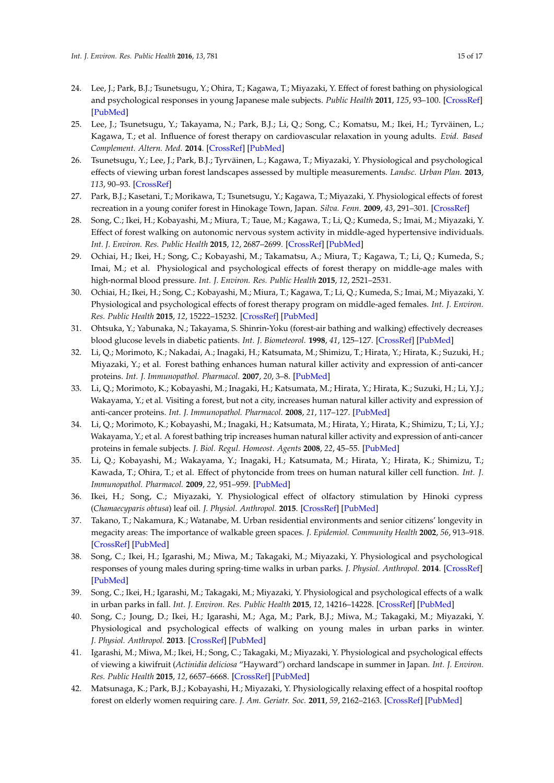- <span id="page-14-0"></span>24. Lee, J.; Park, B.J.; Tsunetsugu, Y.; Ohira, T.; Kagawa, T.; Miyazaki, Y. Effect of forest bathing on physiological and psychological responses in young Japanese male subjects. *Public Health* **2011**, *125*, 93–100. [\[CrossRef\]](http://dx.doi.org/10.1016/j.puhe.2010.09.005) [\[PubMed\]](http://www.ncbi.nlm.nih.gov/pubmed/21288543)
- 25. Lee, J.; Tsunetsugu, Y.; Takayama, N.; Park, B.J.; Li, Q.; Song, C.; Komatsu, M.; Ikei, H.; Tyrväinen, L.; Kagawa, T.; et al. Influence of forest therapy on cardiovascular relaxation in young adults. *Evid. Based Complement. Altern. Med.* **2014**. [\[CrossRef\]](http://dx.doi.org/10.1155/2014/834360) [\[PubMed\]](http://www.ncbi.nlm.nih.gov/pubmed/24660018)
- 26. Tsunetsugu, Y.; Lee, J.; Park, B.J.; Tyrväinen, L.; Kagawa, T.; Miyazaki, Y. Physiological and psychological effects of viewing urban forest landscapes assessed by multiple measurements. *Landsc. Urban Plan.* **2013**, *113*, 90–93. [\[CrossRef\]](http://dx.doi.org/10.1016/j.landurbplan.2013.01.014)
- <span id="page-14-1"></span>27. Park, B.J.; Kasetani, T.; Morikawa, T.; Tsunetsugu, Y.; Kagawa, T.; Miyazaki, Y. Physiological effects of forest recreation in a young conifer forest in Hinokage Town, Japan. *Silva. Fenn.* **2009**, *43*, 291–301. [\[CrossRef\]](http://dx.doi.org/10.14214/sf.213)
- <span id="page-14-2"></span>28. Song, C.; Ikei, H.; Kobayashi, M.; Miura, T.; Taue, M.; Kagawa, T.; Li, Q.; Kumeda, S.; Imai, M.; Miyazaki, Y. Effect of forest walking on autonomic nervous system activity in middle-aged hypertensive individuals. *Int. J. Environ. Res. Public Health* **2015**, *12*, 2687–2699. [\[CrossRef\]](http://dx.doi.org/10.3390/ijerph120302687) [\[PubMed\]](http://www.ncbi.nlm.nih.gov/pubmed/25739004)
- <span id="page-14-3"></span>29. Ochiai, H.; Ikei, H.; Song, C.; Kobayashi, M.; Takamatsu, A.; Miura, T.; Kagawa, T.; Li, Q.; Kumeda, S.; Imai, M.; et al. Physiological and psychological effects of forest therapy on middle-age males with high-normal blood pressure. *Int. J. Environ. Res. Public Health* **2015**, *12*, 2521–2531.
- <span id="page-14-4"></span>30. Ochiai, H.; Ikei, H.; Song, C.; Kobayashi, M.; Miura, T.; Kagawa, T.; Li, Q.; Kumeda, S.; Imai, M.; Miyazaki, Y. Physiological and psychological effects of forest therapy program on middle-aged females. *Int. J. Environ. Res. Public Health* **2015**, *12*, 15222–15232. [\[CrossRef\]](http://dx.doi.org/10.3390/ijerph121214984) [\[PubMed\]](http://www.ncbi.nlm.nih.gov/pubmed/26633447)
- <span id="page-14-5"></span>31. Ohtsuka, Y.; Yabunaka, N.; Takayama, S. Shinrin-Yoku (forest-air bathing and walking) effectively decreases blood glucose levels in diabetic patients. *Int. J. Biometeorol.* **1998**, *41*, 125–127. [\[CrossRef\]](http://dx.doi.org/10.1007/s004840050064) [\[PubMed\]](http://www.ncbi.nlm.nih.gov/pubmed/9531856)
- <span id="page-14-6"></span>32. Li, Q.; Morimoto, K.; Nakadai, A.; Inagaki, H.; Katsumata, M.; Shimizu, T.; Hirata, Y.; Hirata, K.; Suzuki, H.; Miyazaki, Y.; et al. Forest bathing enhances human natural killer activity and expression of anti-cancer proteins. *Int. J. Immunopathol. Pharmacol.* **2007**, *20*, 3–8. [\[PubMed\]](http://www.ncbi.nlm.nih.gov/pubmed/17903349)
- <span id="page-14-8"></span>33. Li, Q.; Morimoto, K.; Kobayashi, M.; Inagaki, H.; Katsumata, M.; Hirata, Y.; Hirata, K.; Suzuki, H.; Li, Y.J.; Wakayama, Y.; et al. Visiting a forest, but not a city, increases human natural killer activity and expression of anti-cancer proteins. *Int. J. Immunopathol. Pharmacol.* **2008**, *21*, 117–127. [\[PubMed\]](http://www.ncbi.nlm.nih.gov/pubmed/18336737)
- <span id="page-14-7"></span>34. Li, Q.; Morimoto, K.; Kobayashi, M.; Inagaki, H.; Katsumata, M.; Hirata, Y.; Hirata, K.; Shimizu, T.; Li, Y.J.; Wakayama, Y.; et al. A forest bathing trip increases human natural killer activity and expression of anti-cancer proteins in female subjects. *J. Biol. Regul. Homeost. Agents* **2008**, *22*, 45–55. [\[PubMed\]](http://www.ncbi.nlm.nih.gov/pubmed/18394317)
- <span id="page-14-9"></span>35. Li, Q.; Kobayashi, M.; Wakayama, Y.; Inagaki, H.; Katsumata, M.; Hirata, Y.; Hirata, K.; Shimizu, T.; Kawada, T.; Ohira, T.; et al. Effect of phytoncide from trees on human natural killer cell function. *Int. J. Immunopathol. Pharmacol.* **2009**, *22*, 951–959. [\[PubMed\]](http://www.ncbi.nlm.nih.gov/pubmed/20074458)
- <span id="page-14-10"></span>36. Ikei, H.; Song, C.; Miyazaki, Y. Physiological effect of olfactory stimulation by Hinoki cypress (*Chamaecyparis obtusa*) leaf oil. *J. Physiol. Anthropol.* **2015**. [\[CrossRef\]](http://dx.doi.org/10.1186/s40101-015-0082-2) [\[PubMed\]](http://www.ncbi.nlm.nih.gov/pubmed/26694076)
- <span id="page-14-11"></span>37. Takano, T.; Nakamura, K.; Watanabe, M. Urban residential environments and senior citizens' longevity in megacity areas: The importance of walkable green spaces. *J. Epidemiol. Community Health* **2002**, *56*, 913–918. [\[CrossRef\]](http://dx.doi.org/10.1136/jech.56.12.913) [\[PubMed\]](http://www.ncbi.nlm.nih.gov/pubmed/12461111)
- <span id="page-14-12"></span>38. Song, C.; Ikei, H.; Igarashi, M.; Miwa, M.; Takagaki, M.; Miyazaki, Y. Physiological and psychological responses of young males during spring-time walks in urban parks. *J. Physiol. Anthropol.* **2014**. [\[CrossRef\]](http://dx.doi.org/10.1186/1880-6805-33-8) [\[PubMed\]](http://www.ncbi.nlm.nih.gov/pubmed/24887352)
- <span id="page-14-13"></span>39. Song, C.; Ikei, H.; Igarashi, M.; Takagaki, M.; Miyazaki, Y. Physiological and psychological effects of a walk in urban parks in fall. *Int. J. Environ. Res. Public Health* **2015**, *12*, 14216–14228. [\[CrossRef\]](http://dx.doi.org/10.3390/ijerph121114216) [\[PubMed\]](http://www.ncbi.nlm.nih.gov/pubmed/26569271)
- <span id="page-14-14"></span>40. Song, C.; Joung, D.; Ikei, H.; Igarashi, M.; Aga, M.; Park, B.J.; Miwa, M.; Takagaki, M.; Miyazaki, Y. Physiological and psychological effects of walking on young males in urban parks in winter. *J. Physiol. Anthropol.* **2013**. [\[CrossRef\]](http://dx.doi.org/10.1186/1880-6805-32-18) [\[PubMed\]](http://www.ncbi.nlm.nih.gov/pubmed/24168929)
- <span id="page-14-15"></span>41. Igarashi, M.; Miwa, M.; Ikei, H.; Song, C.; Takagaki, M.; Miyazaki, Y. Physiological and psychological effects of viewing a kiwifruit (*Actinidia deliciosa* "Hayward") orchard landscape in summer in Japan. *Int. J. Environ. Res. Public Health* **2015**, *12*, 6657–6668. [\[CrossRef\]](http://dx.doi.org/10.3390/ijerph120606657) [\[PubMed\]](http://www.ncbi.nlm.nih.gov/pubmed/26110331)
- <span id="page-14-16"></span>42. Matsunaga, K.; Park, B.J.; Kobayashi, H.; Miyazaki, Y. Physiologically relaxing effect of a hospital rooftop forest on elderly women requiring care. *J. Am. Geriatr. Soc.* **2011**, *59*, 2162–2163. [\[CrossRef\]](http://dx.doi.org/10.1111/j.1532-5415.2011.03651.x) [\[PubMed\]](http://www.ncbi.nlm.nih.gov/pubmed/22098034)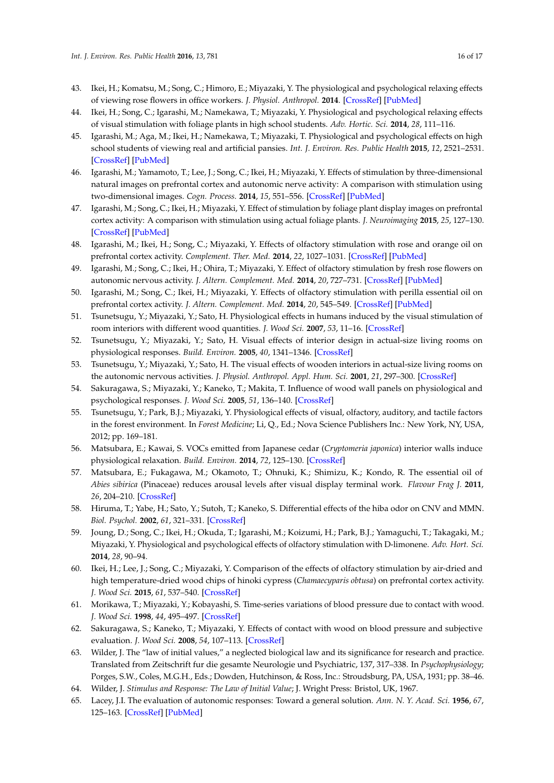- <span id="page-15-0"></span>43. Ikei, H.; Komatsu, M.; Song, C.; Himoro, E.; Miyazaki, Y. The physiological and psychological relaxing effects of viewing rose flowers in office workers. *J. Physiol. Anthropol.* **2014**. [\[CrossRef\]](http://dx.doi.org/10.1186/1880-6805-33-6) [\[PubMed\]](http://www.ncbi.nlm.nih.gov/pubmed/24607069)
- <span id="page-15-1"></span>44. Ikei, H.; Song, C.; Igarashi, M.; Namekawa, T.; Miyazaki, Y. Physiological and psychological relaxing effects of visual stimulation with foliage plants in high school students. *Adv. Hortic. Sci.* **2014**, *28*, 111–116.
- <span id="page-15-2"></span>45. Igarashi, M.; Aga, M.; Ikei, H.; Namekawa, T.; Miyazaki, T. Physiological and psychological effects on high school students of viewing real and artificial pansies. *Int. J. Environ. Res. Public Health* **2015**, *12*, 2521–2531. [\[CrossRef\]](http://dx.doi.org/10.3390/ijerph120302521) [\[PubMed\]](http://www.ncbi.nlm.nih.gov/pubmed/25723647)
- <span id="page-15-3"></span>46. Igarashi, M.; Yamamoto, T.; Lee, J.; Song, C.; Ikei, H.; Miyazaki, Y. Effects of stimulation by three-dimensional natural images on prefrontal cortex and autonomic nerve activity: A comparison with stimulation using two-dimensional images. *Cogn. Process.* **2014**, *15*, 551–556. [\[CrossRef\]](http://dx.doi.org/10.1007/s10339-014-0627-z) [\[PubMed\]](http://www.ncbi.nlm.nih.gov/pubmed/25074565)
- <span id="page-15-4"></span>47. Igarashi, M.; Song, C.; Ikei, H.; Miyazaki, Y. Effect of stimulation by foliage plant display images on prefrontal cortex activity: A comparison with stimulation using actual foliage plants. *J. Neuroimaging* **2015**, *25*, 127–130. [\[CrossRef\]](http://dx.doi.org/10.1111/jon.12078) [\[PubMed\]](http://www.ncbi.nlm.nih.gov/pubmed/24575816)
- <span id="page-15-5"></span>48. Igarashi, M.; Ikei, H.; Song, C.; Miyazaki, Y. Effects of olfactory stimulation with rose and orange oil on prefrontal cortex activity. *Complement. Ther. Med.* **2014**, *22*, 1027–1031. [\[CrossRef\]](http://dx.doi.org/10.1016/j.ctim.2014.09.003) [\[PubMed\]](http://www.ncbi.nlm.nih.gov/pubmed/25453523)
- <span id="page-15-6"></span>49. Igarashi, M.; Song, C.; Ikei, H.; Ohira, T.; Miyazaki, Y. Effect of olfactory stimulation by fresh rose flowers on autonomic nervous activity. *J. Altern. Complement. Med.* **2014**, *20*, 727–731. [\[CrossRef\]](http://dx.doi.org/10.1089/acm.2014.0029) [\[PubMed\]](http://www.ncbi.nlm.nih.gov/pubmed/25055057)
- <span id="page-15-7"></span>50. Igarashi, M.; Song, C.; Ikei, H.; Miyazaki, Y. Effects of olfactory stimulation with perilla essential oil on prefrontal cortex activity. *J. Altern. Complement. Med.* **2014**, *20*, 545–549. [\[CrossRef\]](http://dx.doi.org/10.1089/acm.2014.0100) [\[PubMed\]](http://www.ncbi.nlm.nih.gov/pubmed/24949882)
- <span id="page-15-8"></span>51. Tsunetsugu, Y.; Miyazaki, Y.; Sato, H. Physiological effects in humans induced by the visual stimulation of room interiors with different wood quantities. *J. Wood Sci.* **2007**, *53*, 11–16. [\[CrossRef\]](http://dx.doi.org/10.1007/s10086-006-0812-5)
- 52. Tsunetsugu, Y.; Miyazaki, Y.; Sato, H. Visual effects of interior design in actual-size living rooms on physiological responses. *Build. Environ.* **2005**, *40*, 1341–1346. [\[CrossRef\]](http://dx.doi.org/10.1016/j.buildenv.2004.11.026)
- <span id="page-15-9"></span>53. Tsunetsugu, Y.; Miyazaki, Y.; Sato, H. The visual effects of wooden interiors in actual-size living rooms on the autonomic nervous activities. *J. Physiol. Anthropol. Appl. Hum. Sci.* **2001**, *21*, 297–300. [\[CrossRef\]](http://dx.doi.org/10.2114/jpa.21.297)
- <span id="page-15-10"></span>54. Sakuragawa, S.; Miyazaki, Y.; Kaneko, T.; Makita, T. Influence of wood wall panels on physiological and psychological responses. *J. Wood Sci.* **2005**, *51*, 136–140. [\[CrossRef\]](http://dx.doi.org/10.1007/s10086-004-0643-1)
- <span id="page-15-11"></span>55. Tsunetsugu, Y.; Park, B.J.; Miyazaki, Y. Physiological effects of visual, olfactory, auditory, and tactile factors in the forest environment. In *Forest Medicine*; Li, Q., Ed.; Nova Science Publishers Inc.: New York, NY, USA, 2012; pp. 169–181.
- <span id="page-15-12"></span>56. Matsubara, E.; Kawai, S. VOCs emitted from Japanese cedar (*Cryptomeria japonica*) interior walls induce physiological relaxation. *Build. Environ.* **2014**, *72*, 125–130. [\[CrossRef\]](http://dx.doi.org/10.1016/j.buildenv.2013.10.023)
- <span id="page-15-13"></span>57. Matsubara, E.; Fukagawa, M.; Okamoto, T.; Ohnuki, K.; Shimizu, K.; Kondo, R. The essential oil of *Abies sibirica* (Pinaceae) reduces arousal levels after visual display terminal work. *Flavour Frag J.* **2011**, *26*, 204–210. [\[CrossRef\]](http://dx.doi.org/10.1002/ffj.2056)
- <span id="page-15-14"></span>58. Hiruma, T.; Yabe, H.; Sato, Y.; Sutoh, T.; Kaneko, S. Differential effects of the hiba odor on CNV and MMN. *Biol. Psychol.* **2002**, *61*, 321–331. [\[CrossRef\]](http://dx.doi.org/10.1016/S0301-0511(02)00091-1)
- <span id="page-15-15"></span>59. Joung, D.; Song, C.; Ikei, H.; Okuda, T.; Igarashi, M.; Koizumi, H.; Park, B.J.; Yamaguchi, T.; Takagaki, M.; Miyazaki, Y. Physiological and psychological effects of olfactory stimulation with D-limonene. *Adv. Hort. Sci.* **2014**, *28*, 90–94.
- <span id="page-15-16"></span>60. Ikei, H.; Lee, J.; Song, C.; Miyazaki, Y. Comparison of the effects of olfactory stimulation by air-dried and high temperature-dried wood chips of hinoki cypress (*Chamaecyparis obtusa*) on prefrontal cortex activity. *J. Wood Sci.* **2015**, *61*, 537–540. [\[CrossRef\]](http://dx.doi.org/10.1007/s10086-015-1495-6)
- <span id="page-15-17"></span>61. Morikawa, T.; Miyazaki, Y.; Kobayashi, S. Time-series variations of blood pressure due to contact with wood. *J. Wood Sci.* **1998**, *44*, 495–497. [\[CrossRef\]](http://dx.doi.org/10.1007/BF00833417)
- <span id="page-15-18"></span>62. Sakuragawa, S.; Kaneko, T.; Miyazaki, Y. Effects of contact with wood on blood pressure and subjective evaluation. *J. Wood Sci.* **2008**, *54*, 107–113. [\[CrossRef\]](http://dx.doi.org/10.1007/s10086-007-0915-7)
- <span id="page-15-19"></span>63. Wilder, J. The "law of initial values," a neglected biological law and its significance for research and practice. Translated from Zeitschrift fur die gesamte Neurologie und Psychiatric, 137, 317–338. In *Psychophysiology*; Porges, S.W., Coles, M.G.H., Eds.; Dowden, Hutchinson, & Ross, Inc.: Stroudsburg, PA, USA, 1931; pp. 38–46.
- <span id="page-15-20"></span>64. Wilder, J. *Stimulus and Response: The Law of Initial Value*; J. Wright Press: Bristol, UK, 1967.
- <span id="page-15-21"></span>65. Lacey, J.I. The evaluation of autonomic responses: Toward a general solution. *Ann. N. Y. Acad. Sci.* **1956**, *67*, 125–163. [\[CrossRef\]](http://dx.doi.org/10.1111/j.1749-6632.1956.tb46040.x) [\[PubMed\]](http://www.ncbi.nlm.nih.gov/pubmed/13373240)